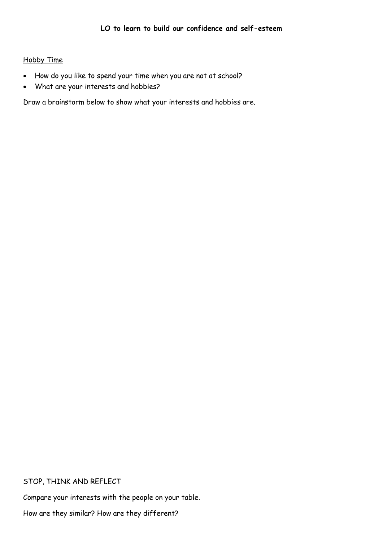#### Hobby Time

- How do you like to spend your time when you are not at school?
- What are your interests and hobbies?

Draw a brainstorm below to show what your interests and hobbies are.

#### STOP, THINK AND REFLECT

Compare your interests with the people on your table.

How are they similar? How are they different?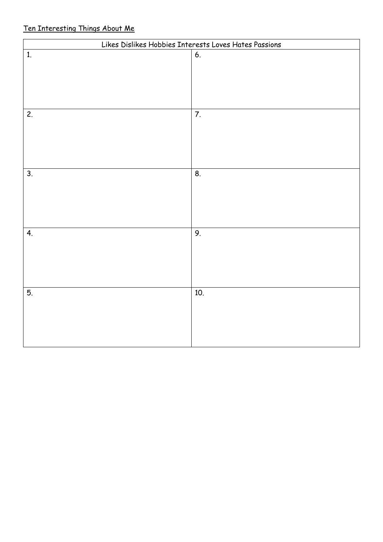# Ten Interesting Things About Me

| Likes Dislikes Hobbies Interests Loves Hates Passions |     |  |  |  |
|-------------------------------------------------------|-----|--|--|--|
| 1.                                                    | 6.  |  |  |  |
|                                                       |     |  |  |  |
|                                                       |     |  |  |  |
|                                                       |     |  |  |  |
|                                                       |     |  |  |  |
| 2.                                                    | 7.  |  |  |  |
|                                                       |     |  |  |  |
|                                                       |     |  |  |  |
|                                                       |     |  |  |  |
|                                                       |     |  |  |  |
| 3.                                                    | 8.  |  |  |  |
|                                                       |     |  |  |  |
|                                                       |     |  |  |  |
|                                                       |     |  |  |  |
| 4.                                                    | 9.  |  |  |  |
|                                                       |     |  |  |  |
|                                                       |     |  |  |  |
|                                                       |     |  |  |  |
|                                                       |     |  |  |  |
| 5.                                                    | 10. |  |  |  |
|                                                       |     |  |  |  |
|                                                       |     |  |  |  |
|                                                       |     |  |  |  |
|                                                       |     |  |  |  |
|                                                       |     |  |  |  |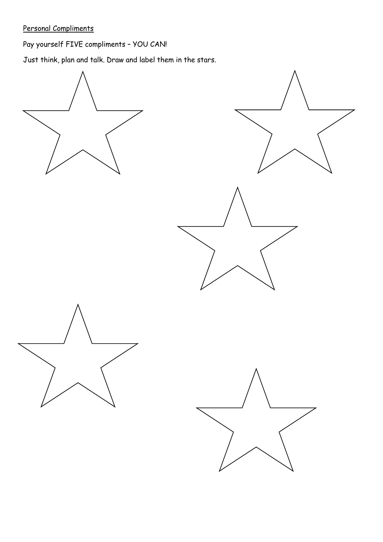Personal Compliments

Pay yourself FIVE compliments – YOU CAN!

Just think, plan and talk. Draw and label them in the stars.

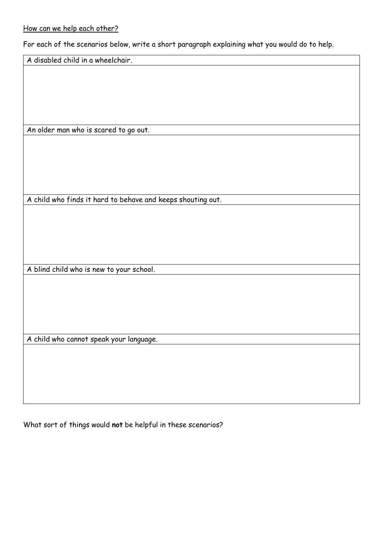### How can we help each other?

For each of the scenarios below, write a short paragraph explaining what you would do to help.

A disabled child in a wheelchair.

An older man who is scared to go out.

A child who finds it hard to behave and keeps shouting out.

A blind child who is new to your school.

A child who cannot speak your language.

What sort of things would **not** be helpful in these scenarios?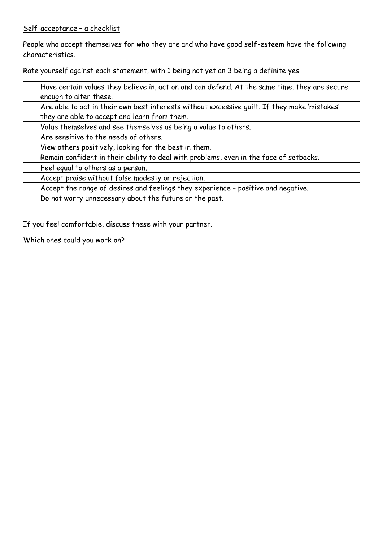### Self-acceptance – a checklist

People who accept themselves for who they are and who have good self-esteem have the following characteristics.

Rate yourself against each statement, with 1 being not yet an 3 being a definite yes.

| Have certain values they believe in, act on and can defend. At the same time, they are secure<br>enough to alter these. |
|-------------------------------------------------------------------------------------------------------------------------|
| Are able to act in their own best interests without excessive quilt. If they make 'mistakes'                            |
| they are able to accept and learn from them.                                                                            |
| Value themselves and see themselves as being a value to others.                                                         |
| Are sensitive to the needs of others.                                                                                   |
| View others positively, looking for the best in them.                                                                   |
| Remain confident in their ability to deal with problems, even in the face of setbacks.                                  |
| Feel equal to others as a person.                                                                                       |
| Accept praise without false modesty or rejection.                                                                       |
| Accept the range of desires and feelings they experience - positive and negative.                                       |
| Do not worry unnecessary about the future or the past.                                                                  |

If you feel comfortable, discuss these with your partner.

Which ones could you work on?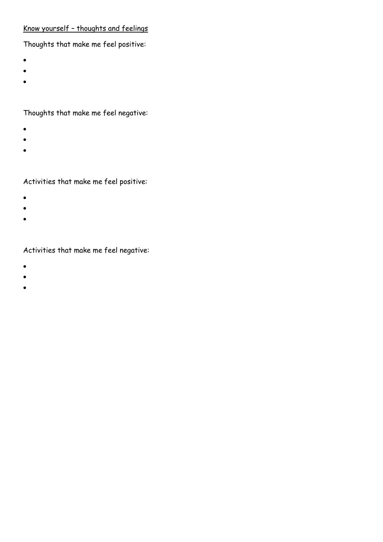## Know yourself – thoughts and feelings

# Thoughts that make me feel positive:

- $\bullet$
- $\bullet$
- $\bullet$
- 

# Thoughts that make me feel negative:

- $\bullet$
- $\bullet$
- $\bullet$

# Activities that make me feel positive:

- $\bullet$
- $\bullet$
- $\bullet$

### Activities that make me feel negative:

- $\bullet$
- $\bullet$
- $\bullet$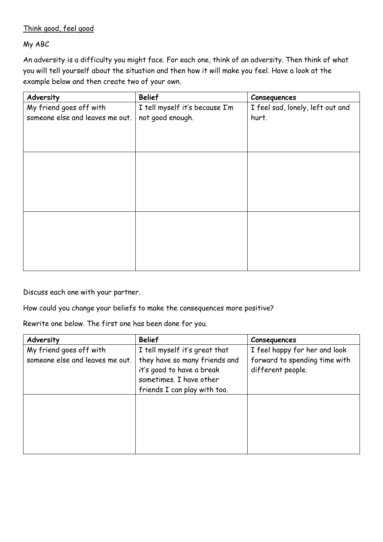### Think good, feel good

My ABC

An adversity is a difficulty you might face. For each one, think of an adversity. Then think of what you will tell yourself about the situation and then how it will make you feel. Have a look at the example below and then create two of your own.

| Adversity                       | <b>Belief</b>                  | Consequences                     |
|---------------------------------|--------------------------------|----------------------------------|
| My friend goes off with         | I tell myself it's because I'm | I feel sad, lonely, left out and |
| someone else and leaves me out. | not good enough.               | hurt.                            |
|                                 |                                |                                  |
|                                 |                                |                                  |
|                                 |                                |                                  |
|                                 |                                |                                  |
|                                 |                                |                                  |
|                                 |                                |                                  |
|                                 |                                |                                  |
|                                 |                                |                                  |
|                                 |                                |                                  |
|                                 |                                |                                  |
|                                 |                                |                                  |
|                                 |                                |                                  |
|                                 |                                |                                  |
|                                 |                                |                                  |
|                                 |                                |                                  |

Discuss each one with your partner.

How could you change your beliefs to make the consequences more positive?

Rewrite one below. The first one has been done for you.

| Adversity                       | <b>Belief</b>                 | Consequences                  |
|---------------------------------|-------------------------------|-------------------------------|
| My friend goes off with         | I tell myself it's great that | I feel happy for her and look |
| someone else and leaves me out. | they have so many friends and | forward to spending time with |
|                                 | it's good to have a break     | different people.             |
|                                 | sometimes. I have other       |                               |
|                                 | friends I can play with too.  |                               |
|                                 |                               |                               |
|                                 |                               |                               |
|                                 |                               |                               |
|                                 |                               |                               |
|                                 |                               |                               |
|                                 |                               |                               |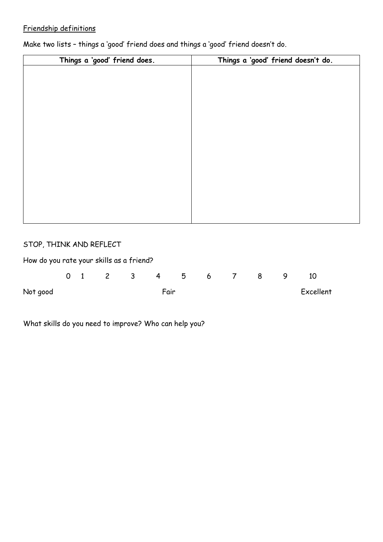## Friendship definitions

| Things a 'good' friend does. | Things a 'good' friend doesn't do. |  |  |  |  |
|------------------------------|------------------------------------|--|--|--|--|
|                              |                                    |  |  |  |  |
|                              |                                    |  |  |  |  |
|                              |                                    |  |  |  |  |
|                              |                                    |  |  |  |  |
|                              |                                    |  |  |  |  |
|                              |                                    |  |  |  |  |
|                              |                                    |  |  |  |  |
|                              |                                    |  |  |  |  |
|                              |                                    |  |  |  |  |
|                              |                                    |  |  |  |  |
|                              |                                    |  |  |  |  |
|                              |                                    |  |  |  |  |
|                              |                                    |  |  |  |  |
|                              |                                    |  |  |  |  |
|                              |                                    |  |  |  |  |
|                              |                                    |  |  |  |  |
|                              |                                    |  |  |  |  |

Make two lists – things a 'good' friend does and things a 'good' friend doesn't do.

### STOP, THINK AND REFLECT

| How do you rate your skills as a friend? |  |  |                 |  |   |           |
|------------------------------------------|--|--|-----------------|--|---|-----------|
|                                          |  |  | 0 1 2 3 4 5 6 7 |  | 8 | 10        |
| Not good                                 |  |  | Fair            |  |   | Excellent |

What skills do you need to improve? Who can help you?